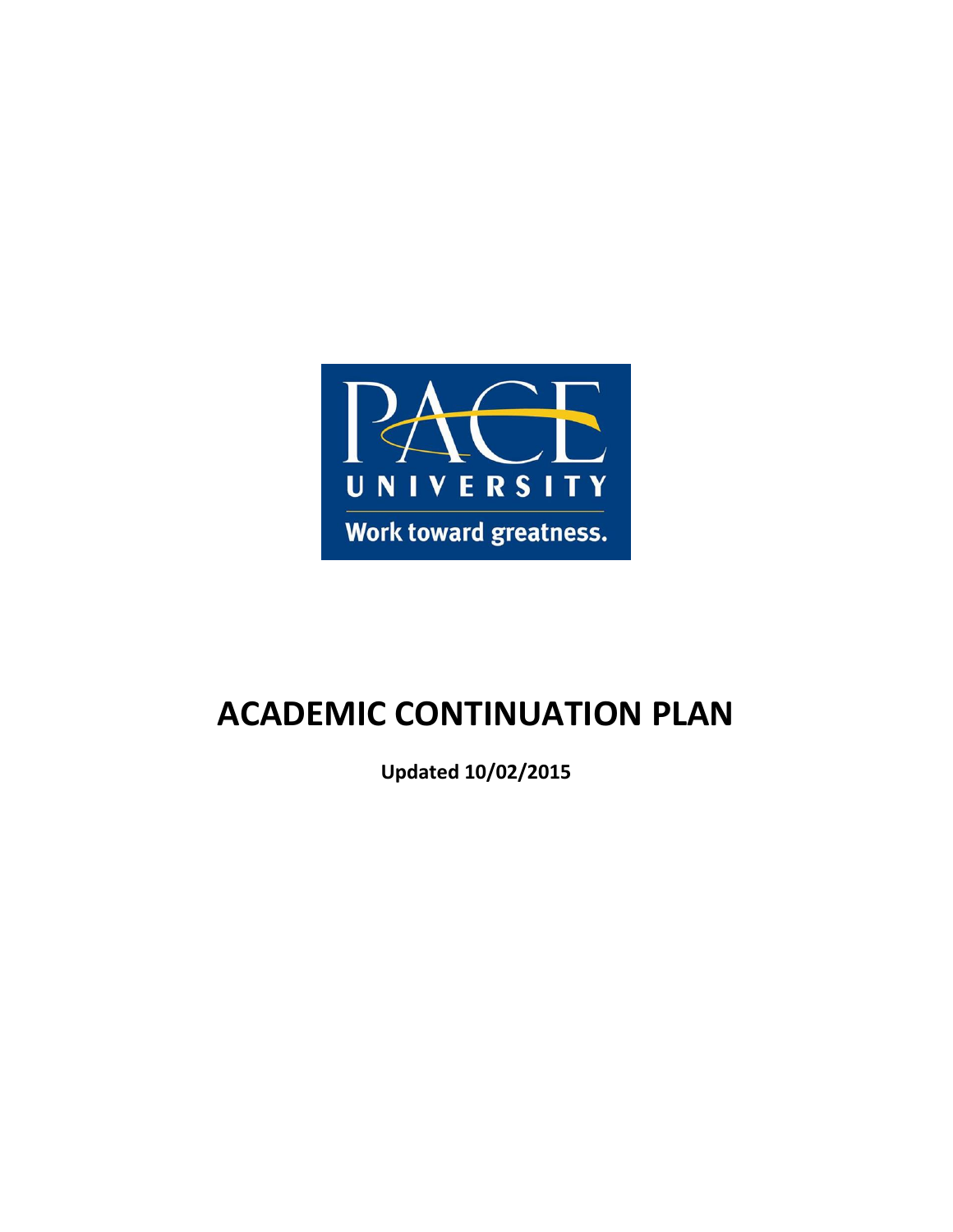

# **ACADEMIC CONTINUATION PLAN**

**Updated 10/02/2015**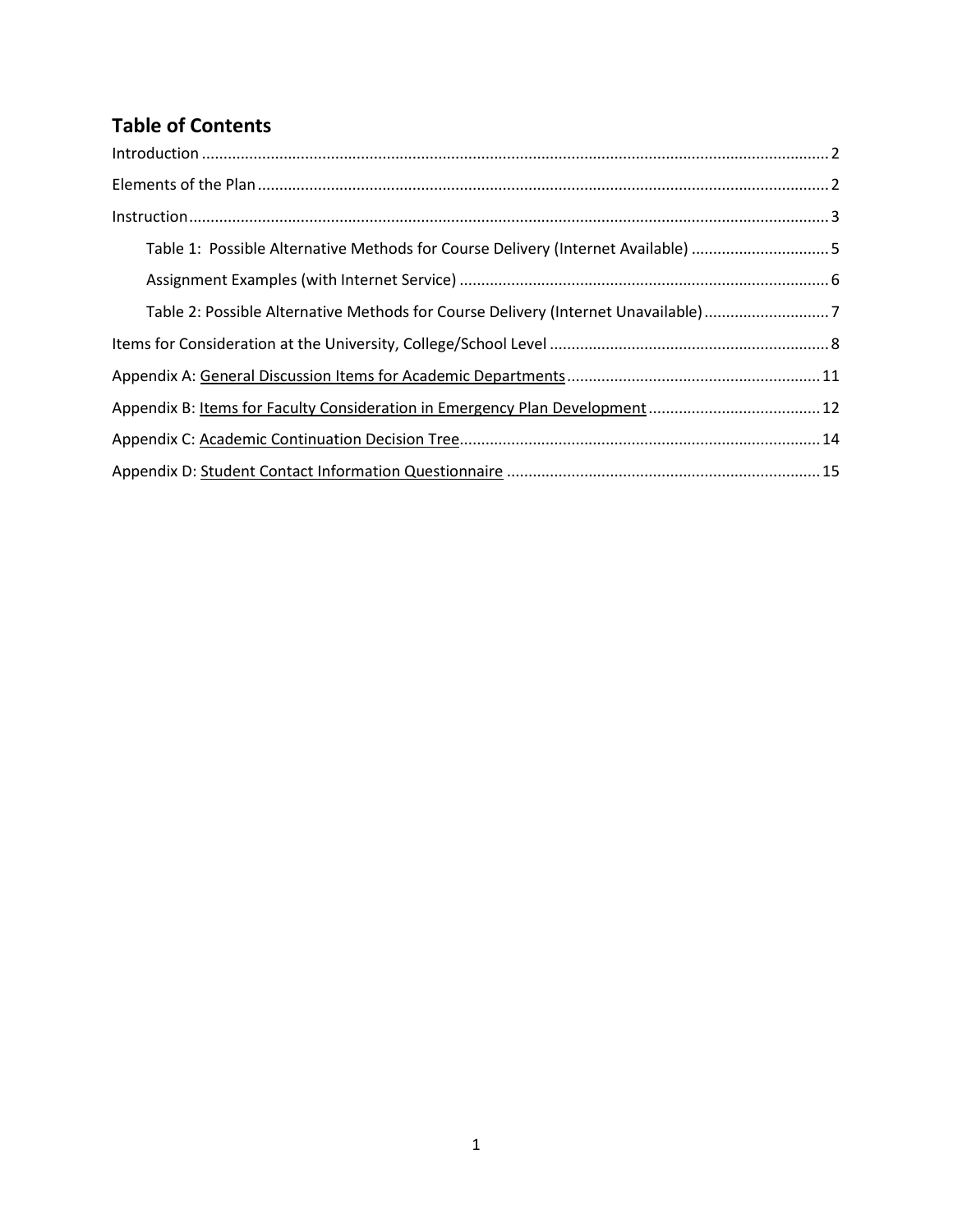# **Table of Contents**

| Table 1: Possible Alternative Methods for Course Delivery (Internet Available) 5  |  |
|-----------------------------------------------------------------------------------|--|
|                                                                                   |  |
| Table 2: Possible Alternative Methods for Course Delivery (Internet Unavailable)7 |  |
|                                                                                   |  |
|                                                                                   |  |
|                                                                                   |  |
|                                                                                   |  |
|                                                                                   |  |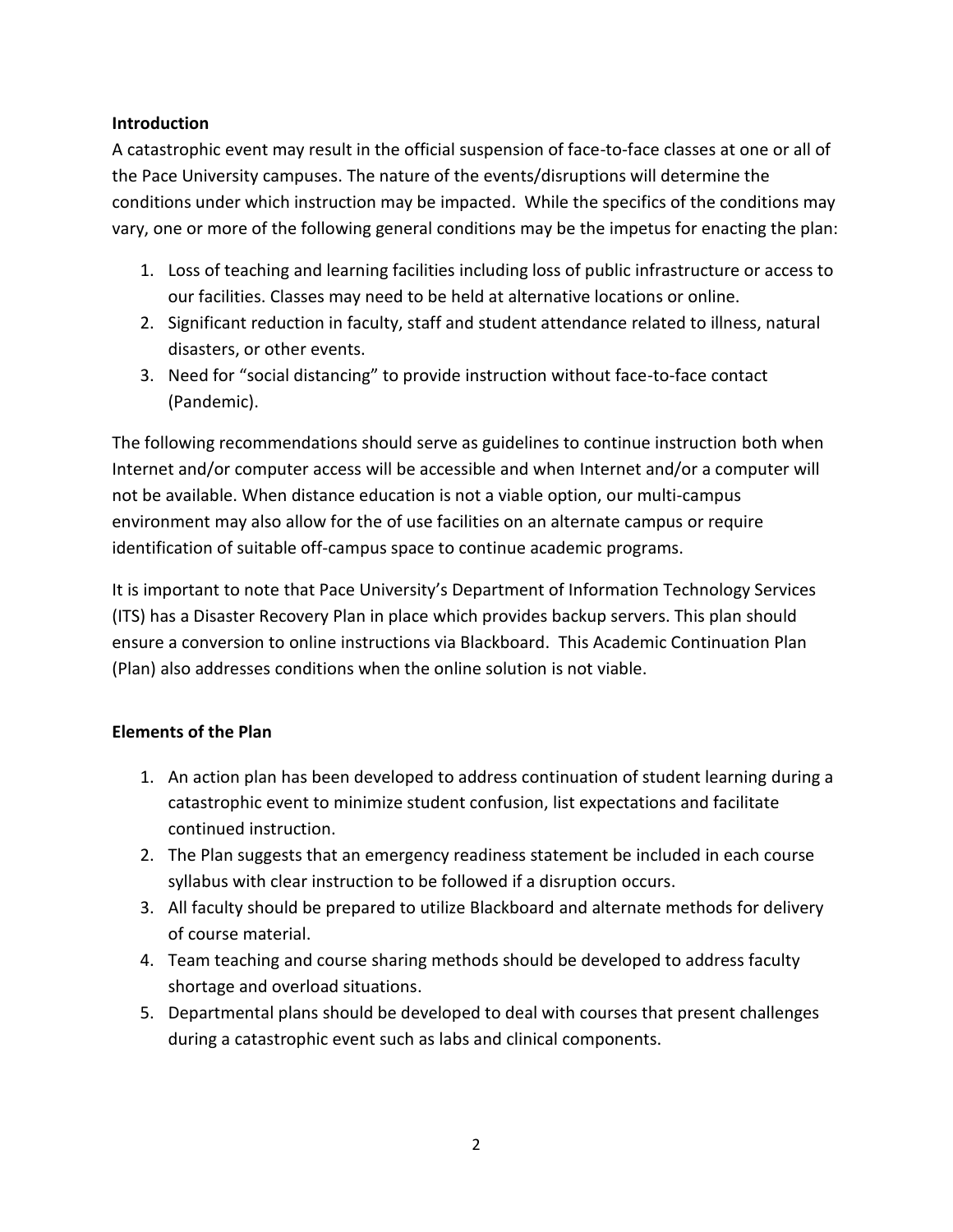# **Introduction**

A catastrophic event may result in the official suspension of face-to-face classes at one or all of the Pace University campuses. The nature of the events/disruptions will determine the conditions under which instruction may be impacted. While the specifics of the conditions may vary, one or more of the following general conditions may be the impetus for enacting the plan:

- 1. Loss of teaching and learning facilities including loss of public infrastructure or access to our facilities. Classes may need to be held at alternative locations or online.
- 2. Significant reduction in faculty, staff and student attendance related to illness, natural disasters, or other events.
- 3. Need for "social distancing" to provide instruction without face-to-face contact (Pandemic).

The following recommendations should serve as guidelines to continue instruction both when Internet and/or computer access will be accessible and when Internet and/or a computer will not be available. When distance education is not a viable option, our multi-campus environment may also allow for the of use facilities on an alternate campus or require identification of suitable off-campus space to continue academic programs.

It is important to note that Pace University's Department of Information Technology Services (ITS) has a Disaster Recovery Plan in place which provides backup servers. This plan should ensure a conversion to online instructions via Blackboard. This Academic Continuation Plan (Plan) also addresses conditions when the online solution is not viable.

# **Elements of the Plan**

- 1. An action plan has been developed to address continuation of student learning during a catastrophic event to minimize student confusion, list expectations and facilitate continued instruction.
- 2. The Plan suggests that an emergency readiness statement be included in each course syllabus with clear instruction to be followed if a disruption occurs.
- 3. All faculty should be prepared to utilize Blackboard and alternate methods for delivery of course material.
- 4. Team teaching and course sharing methods should be developed to address faculty shortage and overload situations.
- 5. Departmental plans should be developed to deal with courses that present challenges during a catastrophic event such as labs and clinical components.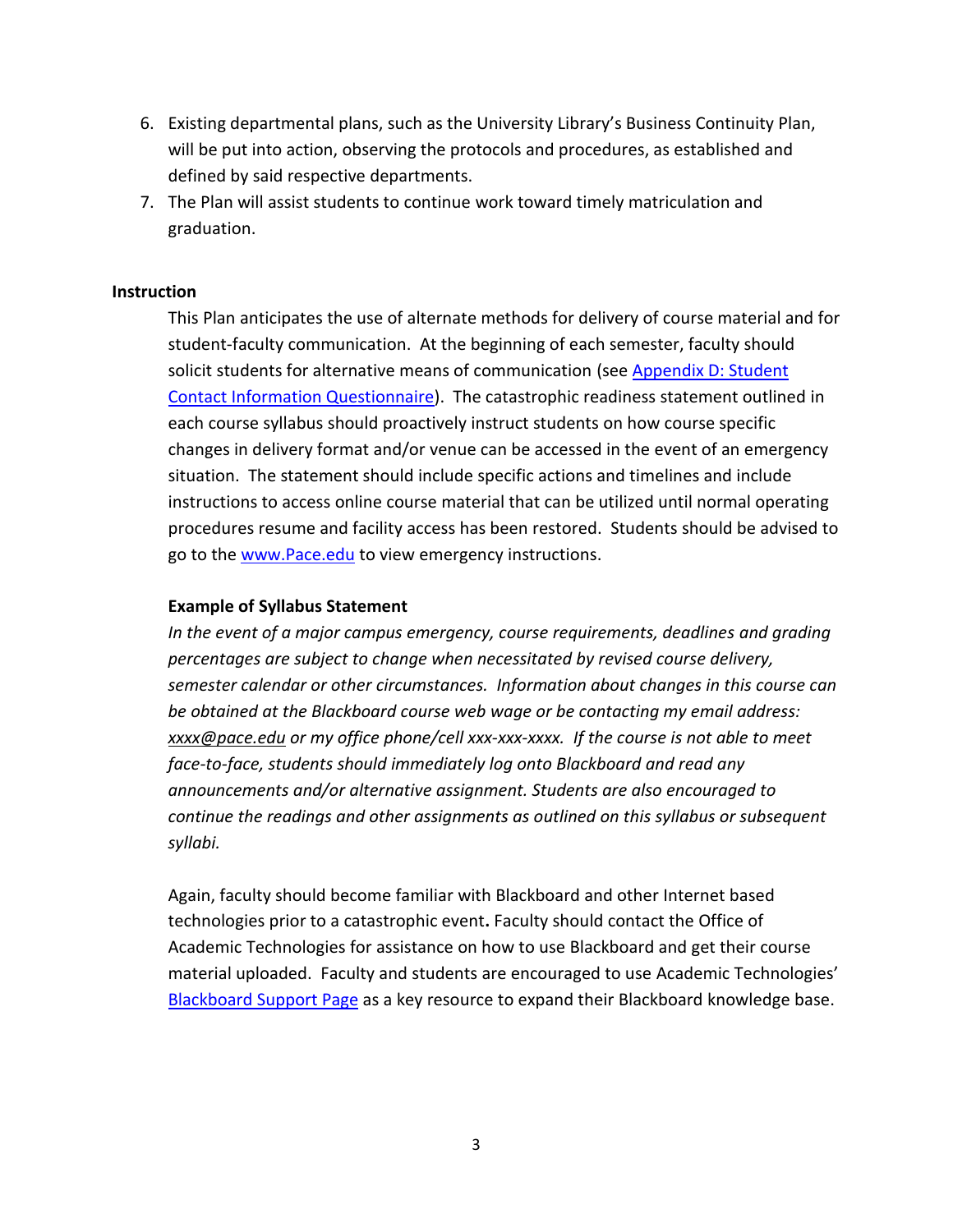- 6. Existing departmental plans, such as the University Library's Business Continuity Plan, will be put into action, observing the protocols and procedures, as established and defined by said respective departments.
- 7. The Plan will assist students to continue work toward timely matriculation and graduation.

#### **Instruction**

This Plan anticipates the use of alternate methods for delivery of course material and for student-faculty communication. At the beginning of each semester, faculty should solicit students for alternative means of communication (see [Appendix D: Student](#page-15-0)  [Contact Information Questionnaire\)](#page-15-0). The catastrophic readiness statement outlined in each course syllabus should proactively instruct students on how course specific changes in delivery format and/or venue can be accessed in the event of an emergency situation. The statement should include specific actions and timelines and include instructions to access online course material that can be utilized until normal operating procedures resume and facility access has been restored. Students should be advised to go to the [www.Pace.edu](http://www.pace.edu/) to view emergency instructions.

#### **Example of Syllabus Statement**

*In the event of a major campus emergency, course requirements, deadlines and grading percentages are subject to change when necessitated by revised course delivery, semester calendar or other circumstances. Information about changes in this course can be obtained at the Blackboard course web wage or be contacting my email address: [xxxx@pace.edu](mailto:xxxx@pace.edu) or my office phone/cell xxx-xxx-xxxx. If the course is not able to meet face-to-face, students should immediately log onto Blackboard and read any announcements and/or alternative assignment. Students are also encouraged to continue the readings and other assignments as outlined on this syllabus or subsequent syllabi.* 

Again, faculty should become familiar with Blackboard and other Internet based technologies prior to a catastrophic event**.** Faculty should contact the Office of Academic Technologies for assistance on how to use Blackboard and get their course material uploaded. Faculty and students are encouraged to use Academic Technologies' [Blackboard Support Page](http://www.pace.edu/its/teaching-and-learning/digital-toolkit/blackboard) as a key resource to expand their Blackboard knowledge base.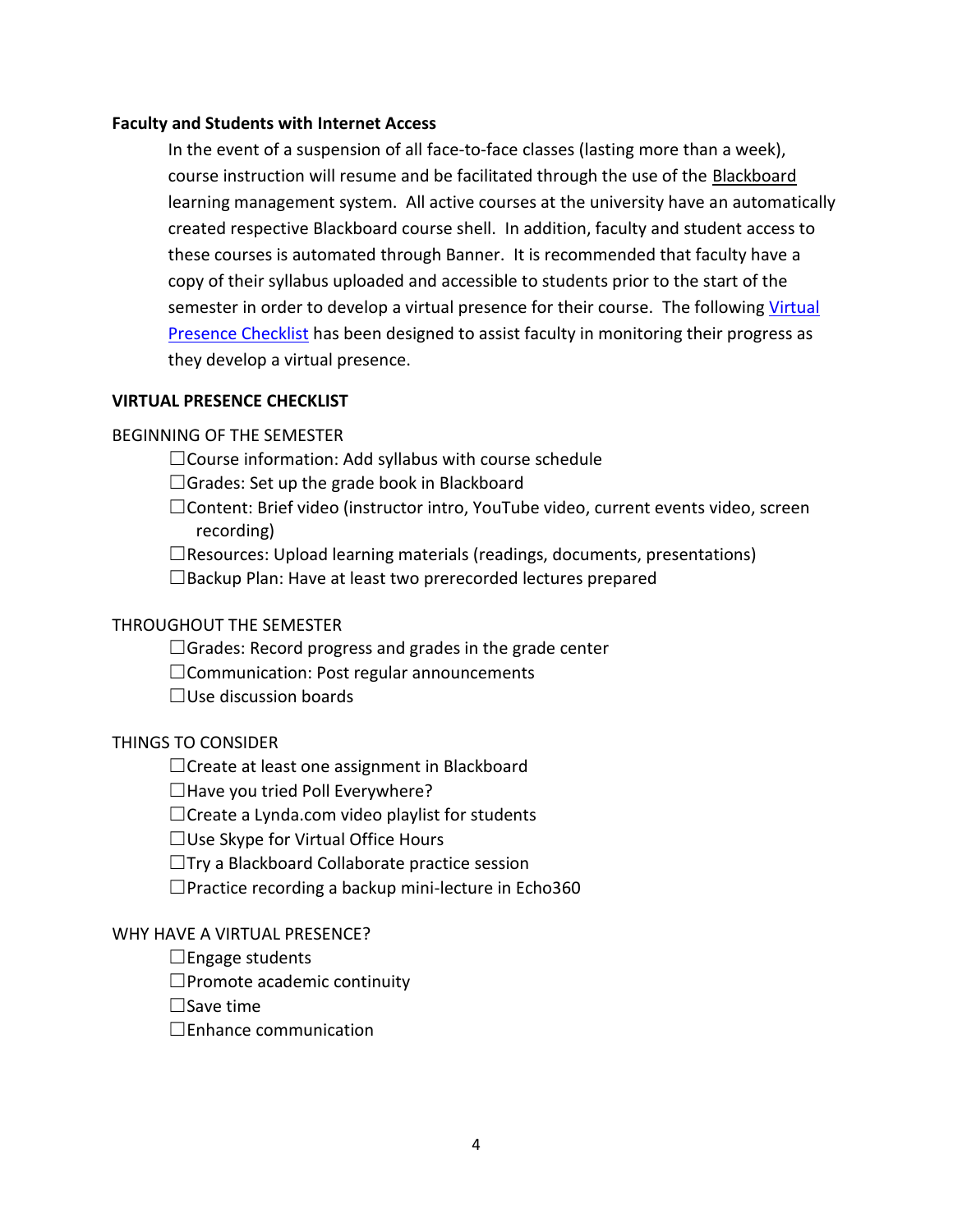#### **Faculty and Students with Internet Access**

In the event of a suspension of all face-to-face classes (lasting more than a week), course instruction will resume and be facilitated through the use of the [Blackboard](http://blackboard.pace.edu/) learning management system. All active courses at the university have an automatically created respective Blackboard course shell. In addition, faculty and student access to these courses is automated through Banner. It is recommended that faculty have a copy of their syllabus uploaded and accessible to students prior to the start of the semester in order to develop a virtual presence for their course. The following Virtual [Presence Checklist](http://www.pace.edu/sites/default/files/files/ITS/digital-toolkit/blackboard/examsoft/virtual_presence_checklist_v2.pdf) has been designed to assist faculty in monitoring their progress as they develop a virtual presence.

#### **VIRTUAL PRESENCE CHECKLIST**

#### BEGINNING OF THE SEMESTER

 $\Box$ Course information: Add syllabus with course schedule

□Grades: Set up the grade book in Blackboard

☐Content: Brief video (instructor intro, YouTube video, current events video, screen recording)

 $\Box$ Resources: Upload learning materials (readings, documents, presentations)

 $\square$ Backup Plan: Have at least two prerecorded lectures prepared

#### THROUGHOUT THE SEMESTER

 $\Box$ Grades: Record progress and grades in the grade center

☐Communication: Post regular announcements

 $\Box$ Use discussion boards

#### THINGS TO CONSIDER

□Create at least one assignment in Blackboard

 $\Box$  Have you tried Poll Everywhere?

 $\Box$ Create a Lynda.com video playlist for students

 $\Box$ Use Skype for Virtual Office Hours

☐Try a Blackboard Collaborate practice session

 $\Box$ Practice recording a backup mini-lecture in Echo360

#### WHY HAVE A VIRTUAL PRESENCE?

 $\Box$ Engage students

 $\Box$ Promote academic continuity

 $\Box$ Save time

☐Enhance communication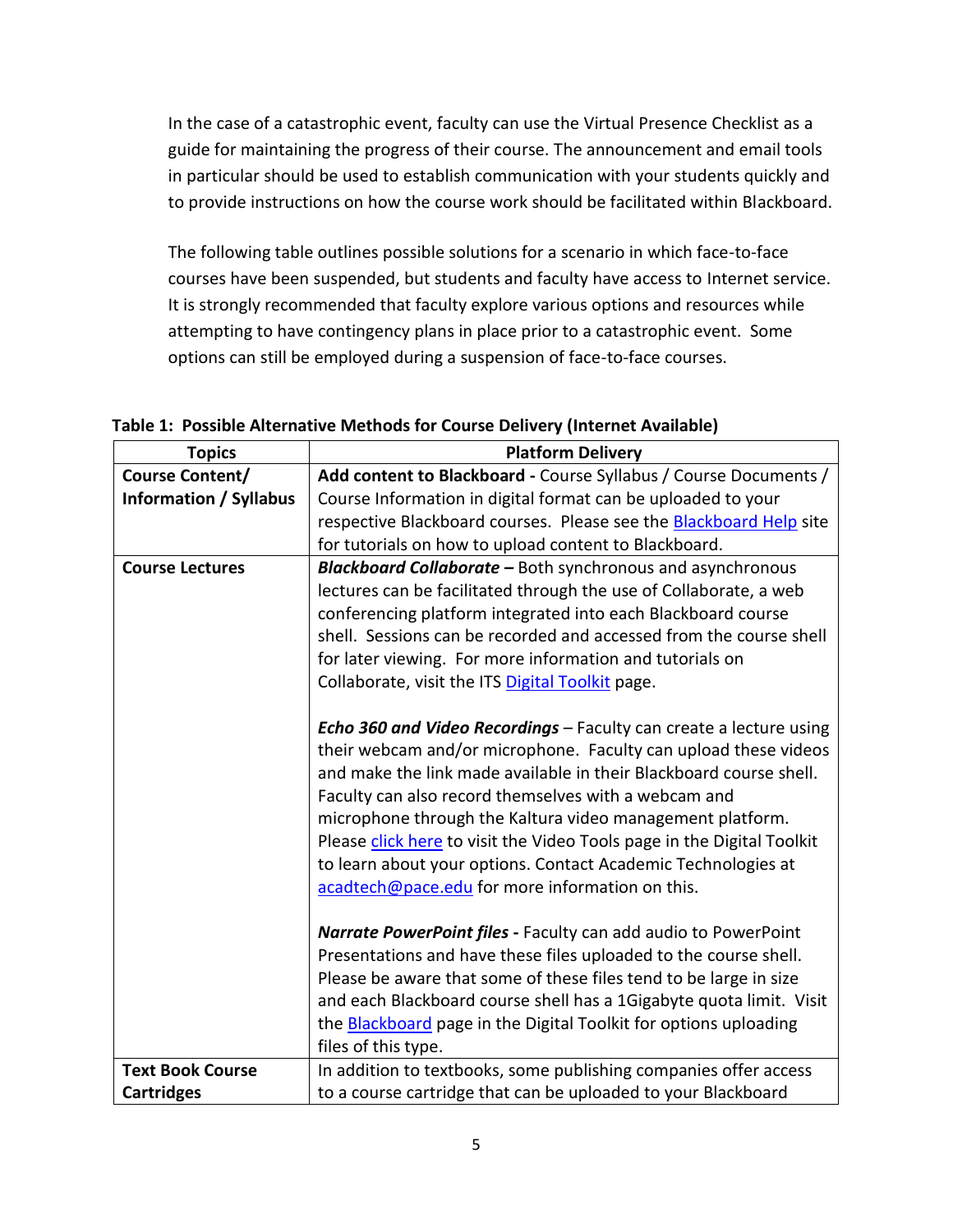In the case of a catastrophic event, faculty can use the Virtual Presence Checklist as a guide for maintaining the progress of their course. The announcement and email tools in particular should be used to establish communication with your students quickly and to provide instructions on how the course work should be facilitated within Blackboard.

The following table outlines possible solutions for a scenario in which face-to-face courses have been suspended, but students and faculty have access to Internet service. It is strongly recommended that faculty explore various options and resources while attempting to have contingency plans in place prior to a catastrophic event. Some options can still be employed during a suspension of face-to-face courses.

| Table 1: Possible Alternative Methods for Course Delivery (Internet Available) |  |
|--------------------------------------------------------------------------------|--|
|--------------------------------------------------------------------------------|--|

| <b>Topics</b>                 | <b>Platform Delivery</b>                                                  |
|-------------------------------|---------------------------------------------------------------------------|
| <b>Course Content/</b>        | Add content to Blackboard - Course Syllabus / Course Documents /          |
| <b>Information / Syllabus</b> | Course Information in digital format can be uploaded to your              |
|                               | respective Blackboard courses. Please see the Blackboard Help site        |
|                               | for tutorials on how to upload content to Blackboard.                     |
| <b>Course Lectures</b>        | <b>Blackboard Collaborate - Both synchronous and asynchronous</b>         |
|                               | lectures can be facilitated through the use of Collaborate, a web         |
|                               | conferencing platform integrated into each Blackboard course              |
|                               | shell. Sessions can be recorded and accessed from the course shell        |
|                               | for later viewing. For more information and tutorials on                  |
|                               | Collaborate, visit the ITS Digital Toolkit page.                          |
|                               |                                                                           |
|                               | <b>Echo 360 and Video Recordings - Faculty can create a lecture using</b> |
|                               | their webcam and/or microphone. Faculty can upload these videos           |
|                               | and make the link made available in their Blackboard course shell.        |
|                               | Faculty can also record themselves with a webcam and                      |
|                               | microphone through the Kaltura video management platform.                 |
|                               | Please click here to visit the Video Tools page in the Digital Toolkit    |
|                               | to learn about your options. Contact Academic Technologies at             |
|                               | acadtech@pace.edu for more information on this.                           |
|                               |                                                                           |
|                               | Narrate PowerPoint files - Faculty can add audio to PowerPoint            |
|                               | Presentations and have these files uploaded to the course shell.          |
|                               | Please be aware that some of these files tend to be large in size         |
|                               | and each Blackboard course shell has a 1Gigabyte quota limit. Visit       |
|                               | the <b>Blackboard</b> page in the Digital Toolkit for options uploading   |
|                               | files of this type.                                                       |
| <b>Text Book Course</b>       | In addition to textbooks, some publishing companies offer access          |
| <b>Cartridges</b>             | to a course cartridge that can be uploaded to your Blackboard             |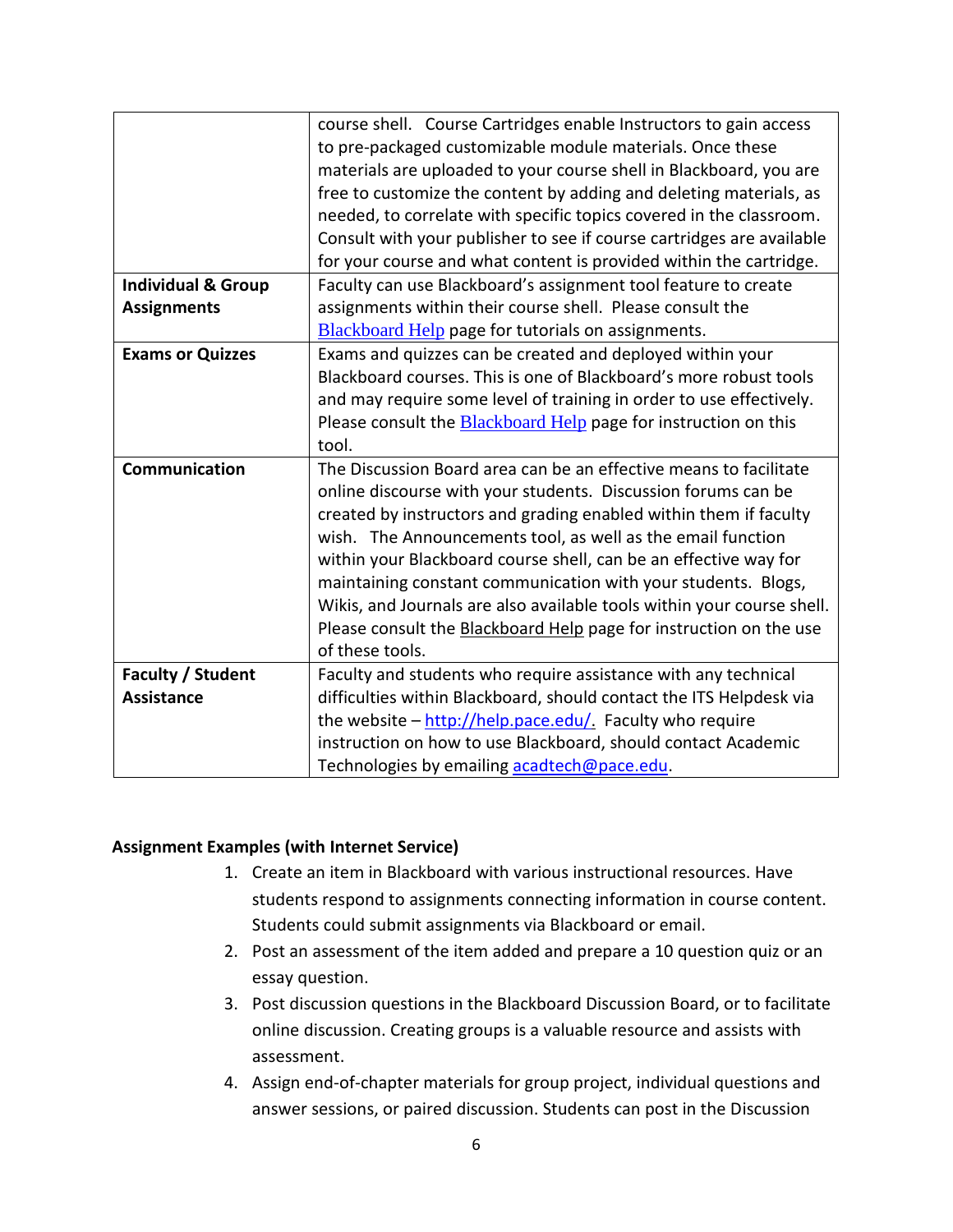|                               | course shell. Course Cartridges enable Instructors to gain access      |
|-------------------------------|------------------------------------------------------------------------|
|                               | to pre-packaged customizable module materials. Once these              |
|                               | materials are uploaded to your course shell in Blackboard, you are     |
|                               | free to customize the content by adding and deleting materials, as     |
|                               | needed, to correlate with specific topics covered in the classroom.    |
|                               | Consult with your publisher to see if course cartridges are available  |
|                               | for your course and what content is provided within the cartridge.     |
| <b>Individual &amp; Group</b> | Faculty can use Blackboard's assignment tool feature to create         |
| <b>Assignments</b>            | assignments within their course shell. Please consult the              |
|                               | <b>Blackboard Help</b> page for tutorials on assignments.              |
| <b>Exams or Quizzes</b>       | Exams and quizzes can be created and deployed within your              |
|                               | Blackboard courses. This is one of Blackboard's more robust tools      |
|                               | and may require some level of training in order to use effectively.    |
|                               | Please consult the <b>Blackboard Help</b> page for instruction on this |
|                               | tool.                                                                  |
| Communication                 | The Discussion Board area can be an effective means to facilitate      |
|                               | online discourse with your students. Discussion forums can be          |
|                               | created by instructors and grading enabled within them if faculty      |
|                               | wish. The Announcements tool, as well as the email function            |
|                               | within your Blackboard course shell, can be an effective way for       |
|                               | maintaining constant communication with your students. Blogs,          |
|                               | Wikis, and Journals are also available tools within your course shell. |
|                               | Please consult the Blackboard Help page for instruction on the use     |
|                               | of these tools.                                                        |
| Faculty / Student             | Faculty and students who require assistance with any technical         |
| <b>Assistance</b>             | difficulties within Blackboard, should contact the ITS Helpdesk via    |
|                               | the website - http://help.pace.edu/. Faculty who require               |
|                               | instruction on how to use Blackboard, should contact Academic          |
|                               | Technologies by emailing acadtech@pace.edu.                            |

#### **Assignment Examples (with Internet Service)**

- 1. Create an item in Blackboard with various instructional resources. Have students respond to assignments connecting information in course content. Students could submit assignments via Blackboard or email.
- 2. Post an assessment of the item added and prepare a 10 question quiz or an essay question.
- 3. Post discussion questions in the Blackboard Discussion Board, or to facilitate online discussion. Creating groups is a valuable resource and assists with assessment.
- 4. Assign end-of-chapter materials for group project, individual questions and answer sessions, or paired discussion. Students can post in the Discussion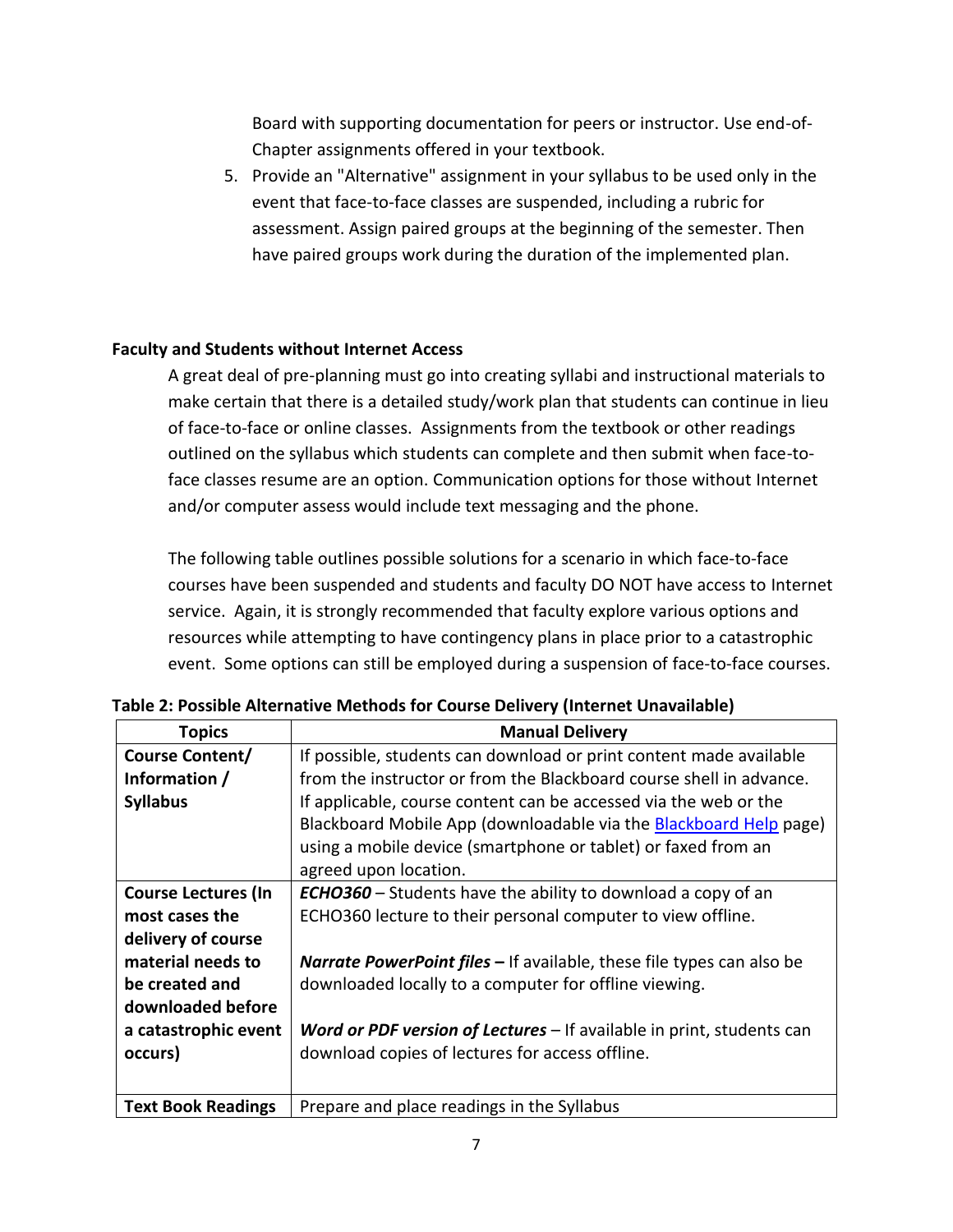Board with supporting documentation for peers or instructor. Use end-of-Chapter assignments offered in your textbook.

5. Provide an "Alternative" assignment in your syllabus to be used only in the event that face-to-face classes are suspended, including a rubric for assessment. Assign paired groups at the beginning of the semester. Then have paired groups work during the duration of the implemented plan.

# **Faculty and Students without Internet Access**

A great deal of pre-planning must go into creating syllabi and instructional materials to make certain that there is a detailed study/work plan that students can continue in lieu of face-to-face or online classes. Assignments from the textbook or other readings outlined on the syllabus which students can complete and then submit when face-toface classes resume are an option. Communication options for those without Internet and/or computer assess would include text messaging and the phone.

The following table outlines possible solutions for a scenario in which face-to-face courses have been suspended and students and faculty DO NOT have access to Internet service. Again, it is strongly recommended that faculty explore various options and resources while attempting to have contingency plans in place prior to a catastrophic event. Some options can still be employed during a suspension of face-to-face courses.

| <b>Topics</b>              | <b>Manual Delivery</b>                                                       |
|----------------------------|------------------------------------------------------------------------------|
| <b>Course Content/</b>     | If possible, students can download or print content made available           |
| Information /              | from the instructor or from the Blackboard course shell in advance.          |
| <b>Syllabus</b>            | If applicable, course content can be accessed via the web or the             |
|                            | Blackboard Mobile App (downloadable via the Blackboard Help page)            |
|                            | using a mobile device (smartphone or tablet) or faxed from an                |
|                            | agreed upon location.                                                        |
| <b>Course Lectures (In</b> | <b>ECHO360</b> – Students have the ability to download a copy of an          |
| most cases the             | ECHO360 lecture to their personal computer to view offline.                  |
| delivery of course         |                                                                              |
| material needs to          | <b>Narrate PowerPoint files - If available, these file types can also be</b> |
| be created and             | downloaded locally to a computer for offline viewing.                        |
| downloaded before          |                                                                              |
| a catastrophic event       | Word or PDF version of Lectures - If available in print, students can        |
| occurs)                    | download copies of lectures for access offline.                              |
|                            |                                                                              |
| <b>Text Book Readings</b>  | Prepare and place readings in the Syllabus                                   |

**Table 2: Possible Alternative Methods for Course Delivery (Internet Unavailable)**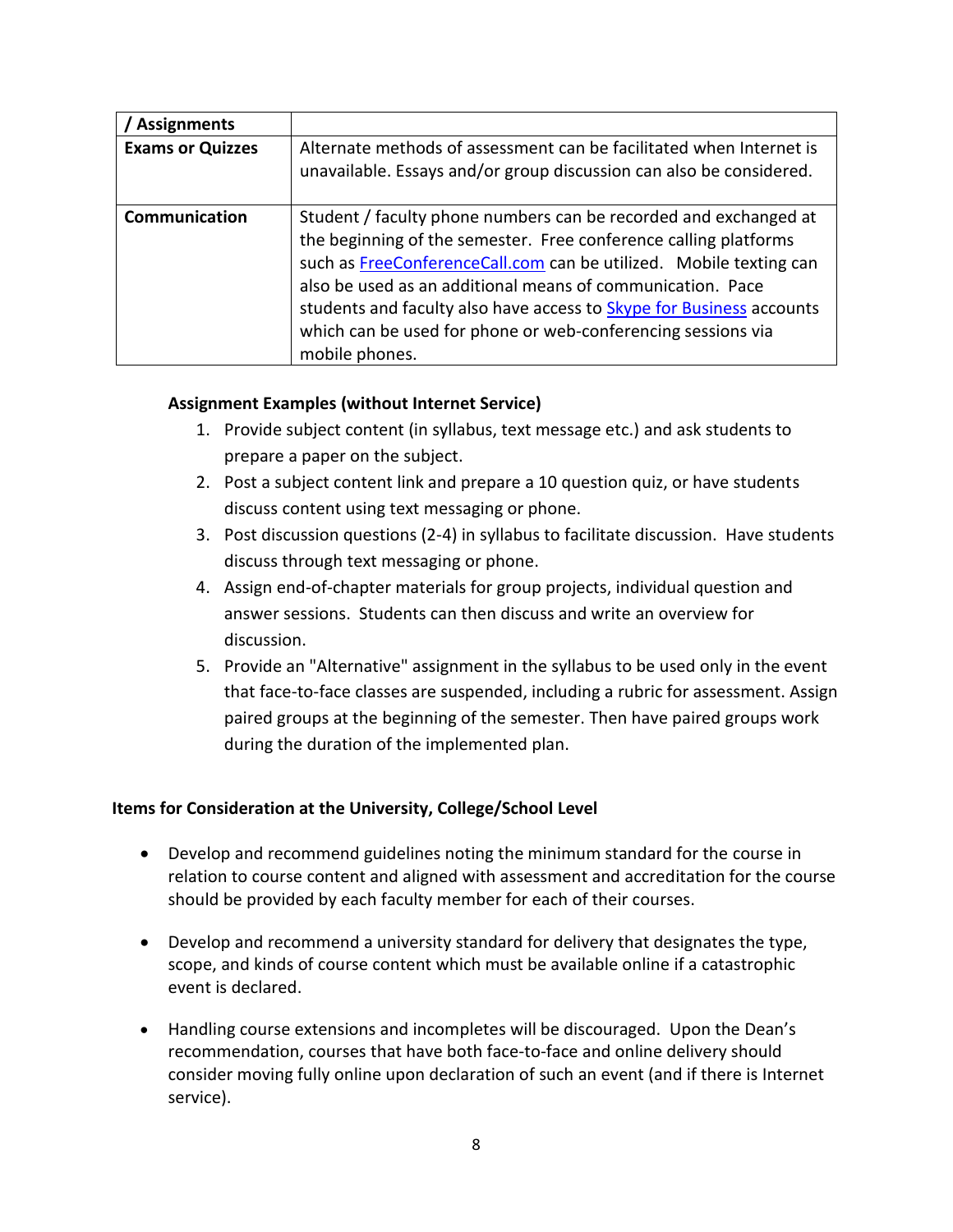| <b>Assignments</b>      |                                                                                                                                                                                                                                                                                                                                                                                                                                    |
|-------------------------|------------------------------------------------------------------------------------------------------------------------------------------------------------------------------------------------------------------------------------------------------------------------------------------------------------------------------------------------------------------------------------------------------------------------------------|
| <b>Exams or Quizzes</b> | Alternate methods of assessment can be facilitated when Internet is<br>unavailable. Essays and/or group discussion can also be considered.                                                                                                                                                                                                                                                                                         |
| Communication           | Student / faculty phone numbers can be recorded and exchanged at<br>the beginning of the semester. Free conference calling platforms<br>such as FreeConferenceCall.com can be utilized. Mobile texting can<br>also be used as an additional means of communication. Pace<br>students and faculty also have access to Skype for Business accounts<br>which can be used for phone or web-conferencing sessions via<br>mobile phones. |

# **Assignment Examples (without Internet Service)**

- 1. Provide subject content (in syllabus, text message etc.) and ask students to prepare a paper on the subject.
- 2. Post a subject content link and prepare a 10 question quiz, or have students discuss content using text messaging or phone.
- 3. Post discussion questions (2-4) in syllabus to facilitate discussion. Have students discuss through text messaging or phone.
- 4. Assign end-of-chapter materials for group projects, individual question and answer sessions. Students can then discuss and write an overview for discussion.
- 5. Provide an "Alternative" assignment in the syllabus to be used only in the event that face-to-face classes are suspended, including a rubric for assessment. Assign paired groups at the beginning of the semester. Then have paired groups work during the duration of the implemented plan.

# **Items for Consideration at the University, College/School Level**

- Develop and recommend guidelines noting the minimum standard for the course in relation to course content and aligned with assessment and accreditation for the course should be provided by each faculty member for each of their courses.
- Develop and recommend a university standard for delivery that designates the type, scope, and kinds of course content which must be available online if a catastrophic event is declared.
- Handling course extensions and incompletes will be discouraged. Upon the Dean's recommendation, courses that have both face-to-face and online delivery should consider moving fully online upon declaration of such an event (and if there is Internet service).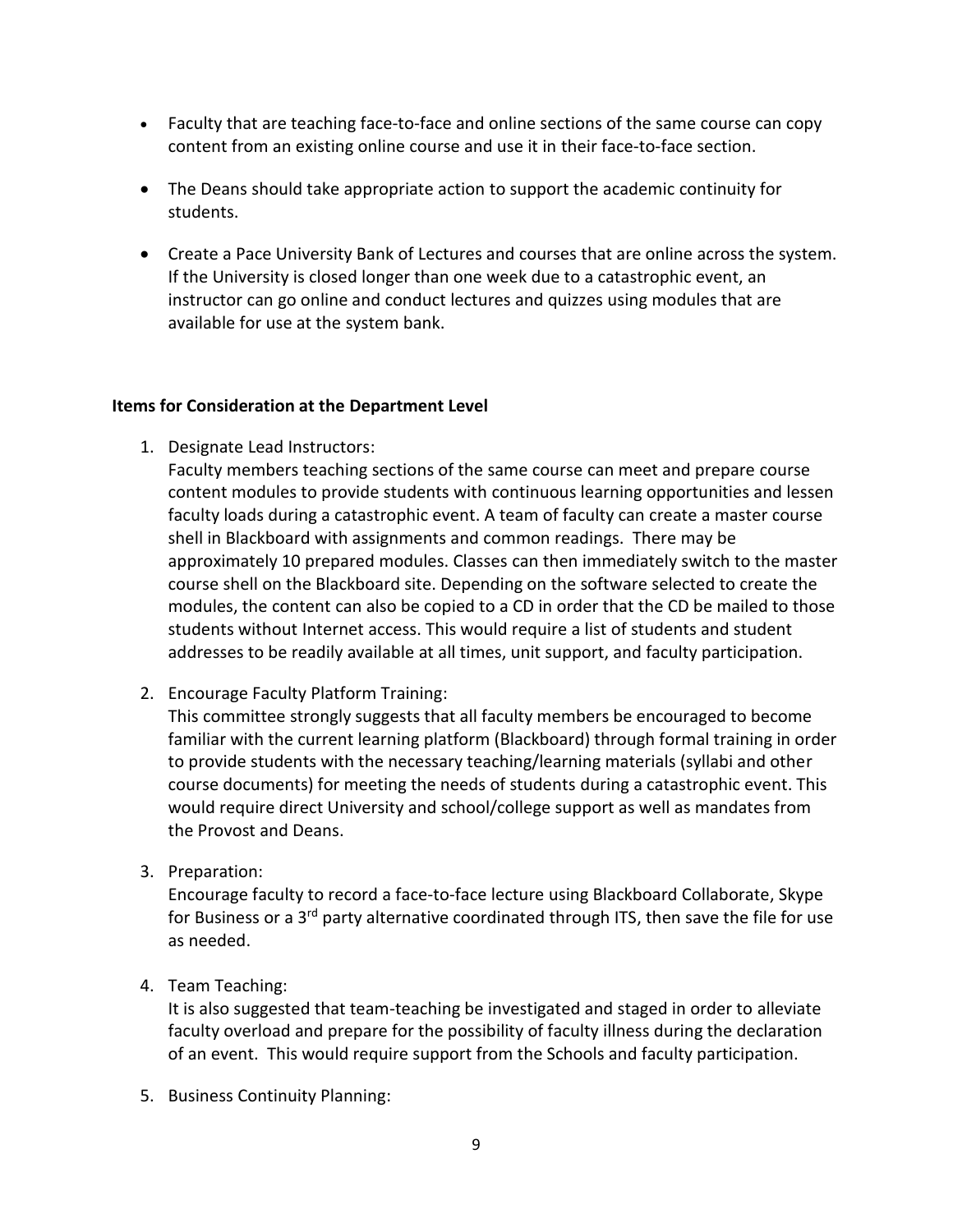- Faculty that are teaching face-to-face and online sections of the same course can copy content from an existing online course and use it in their face-to-face section.
- The Deans should take appropriate action to support the academic continuity for students.
- Create a Pace University Bank of Lectures and courses that are online across the system. If the University is closed longer than one week due to a catastrophic event, an instructor can go online and conduct lectures and quizzes using modules that are available for use at the system bank.

#### **Items for Consideration at the Department Level**

1. Designate Lead Instructors:

Faculty members teaching sections of the same course can meet and prepare course content modules to provide students with continuous learning opportunities and lessen faculty loads during a catastrophic event. A team of faculty can create a master course shell in Blackboard with assignments and common readings. There may be approximately 10 prepared modules. Classes can then immediately switch to the master course shell on the Blackboard site. Depending on the software selected to create the modules, the content can also be copied to a CD in order that the CD be mailed to those students without Internet access. This would require a list of students and student addresses to be readily available at all times, unit support, and faculty participation.

2. Encourage Faculty Platform Training:

This committee strongly suggests that all faculty members be encouraged to become familiar with the current learning platform (Blackboard) through formal training in order to provide students with the necessary teaching/learning materials (syllabi and other course documents) for meeting the needs of students during a catastrophic event. This would require direct University and school/college support as well as mandates from the Provost and Deans.

3. Preparation:

Encourage faculty to record a face-to-face lecture using Blackboard Collaborate, Skype for Business or a 3<sup>rd</sup> party alternative coordinated through ITS, then save the file for use as needed.

4. Team Teaching:

It is also suggested that team-teaching be investigated and staged in order to alleviate faculty overload and prepare for the possibility of faculty illness during the declaration of an event. This would require support from the Schools and faculty participation.

5. Business Continuity Planning: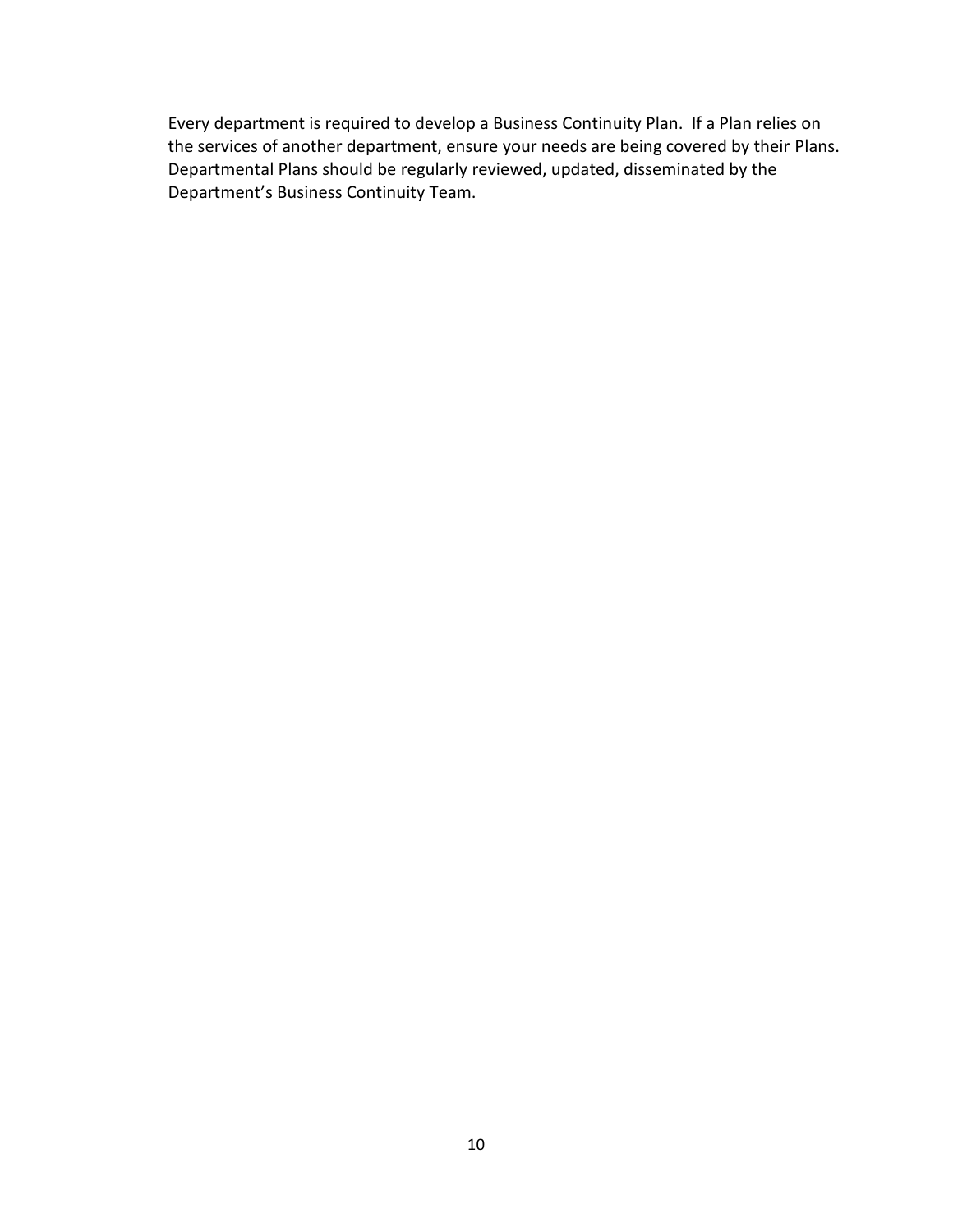Every department is required to develop a Business Continuity Plan. If a Plan relies on the services of another department, ensure your needs are being covered by their Plans. Departmental Plans should be regularly reviewed, updated, disseminated by the Department's Business Continuity Team.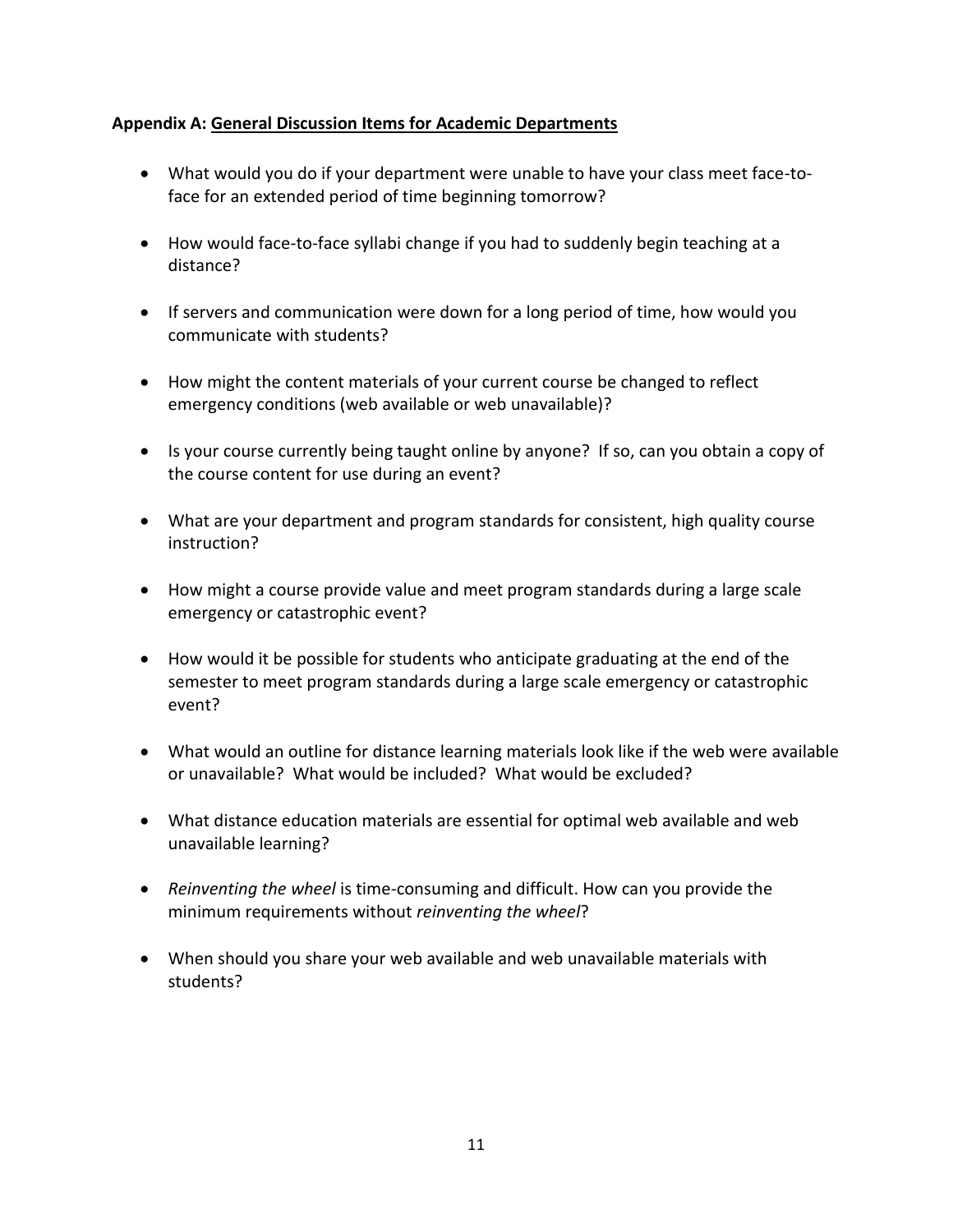# **Appendix A: General Discussion Items for Academic Departments**

- What would you do if your department were unable to have your class meet face-toface for an extended period of time beginning tomorrow?
- How would face-to-face syllabi change if you had to suddenly begin teaching at a distance?
- If servers and communication were down for a long period of time, how would you communicate with students?
- How might the content materials of your current course be changed to reflect emergency conditions (web available or web unavailable)?
- Is your course currently being taught online by anyone? If so, can you obtain a copy of the course content for use during an event?
- What are your department and program standards for consistent, high quality course instruction?
- How might a course provide value and meet program standards during a large scale emergency or catastrophic event?
- How would it be possible for students who anticipate graduating at the end of the semester to meet program standards during a large scale emergency or catastrophic event?
- What would an outline for distance learning materials look like if the web were available or unavailable? What would be included? What would be excluded?
- What distance education materials are essential for optimal web available and web unavailable learning?
- *Reinventing the wheel* is time-consuming and difficult. How can you provide the minimum requirements without *reinventing the wheel*?
- When should you share your web available and web unavailable materials with students?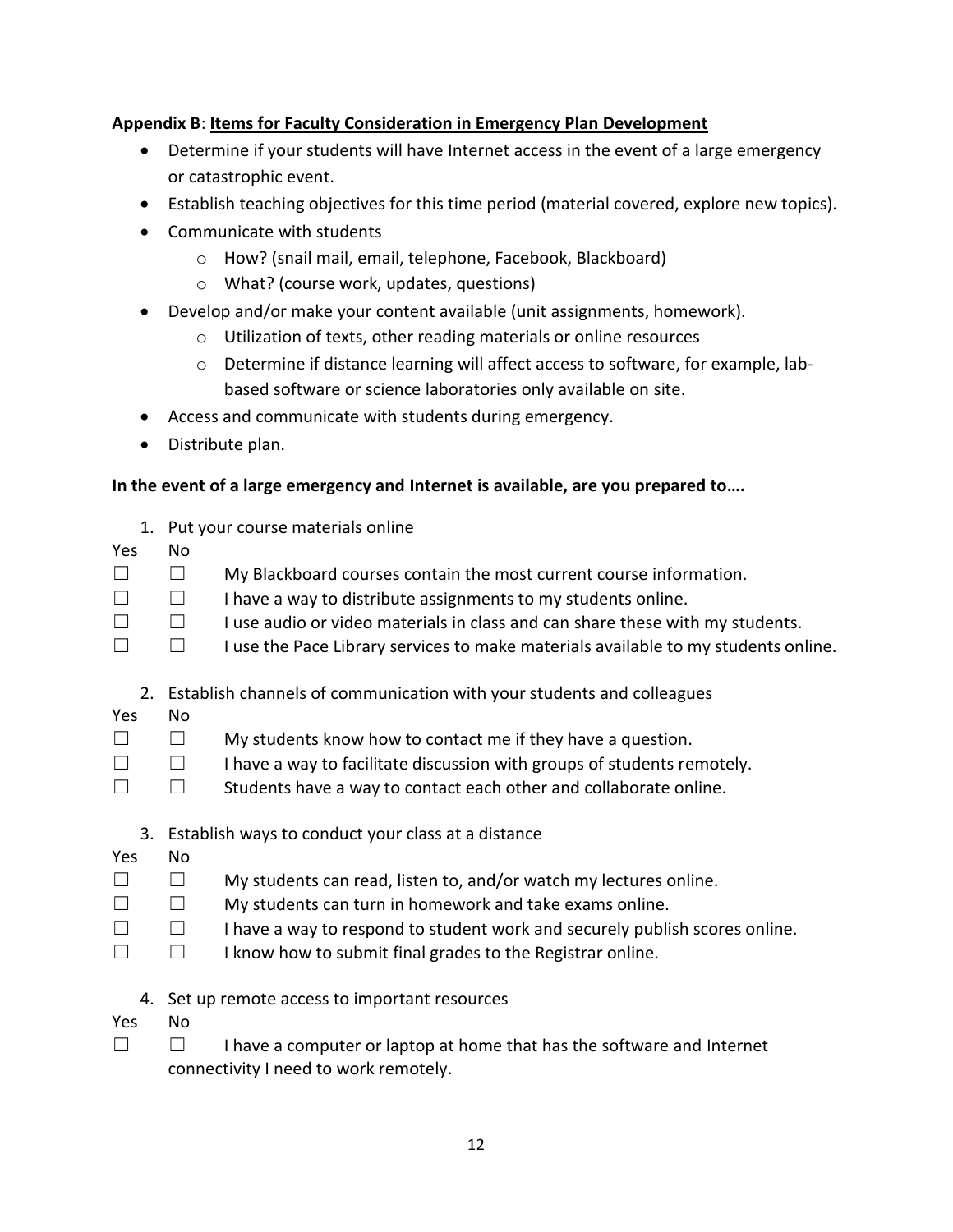# **Appendix B**: **Items for Faculty Consideration in Emergency Plan Development**

- Determine if your students will have Internet access in the event of a large emergency or catastrophic event.
- Establish teaching objectives for this time period (material covered, explore new topics).
- Communicate with students
	- o How? (snail mail, email, telephone, Facebook, Blackboard)
	- o What? (course work, updates, questions)
- Develop and/or make your content available (unit assignments, homework).
	- o Utilization of texts, other reading materials or online resources
	- $\circ$  Determine if distance learning will affect access to software, for example, labbased software or science laboratories only available on site.
- Access and communicate with students during emergency.
- Distribute plan.

# **In the event of a large emergency and Internet is available, are you prepared to….**

- 1. Put your course materials online
- Yes No
- ☐ ☐ My Blackboard courses contain the most current course information.
- $\Box$  I have a way to distribute assignments to my students online.
- $\Box$  I use audio or video materials in class and can share these with my students.
- □ □ I use the Pace Library services to make materials available to my students online.
	- 2. Establish channels of communication with your students and colleagues
- Yes No
- ☐ ☐ My students know how to contact me if they have a question.
- ☐ ☐ I have a way to facilitate discussion with groups of students remotely.
- ☐ ☐ Students have a way to contact each other and collaborate online.
	- 3. Establish ways to conduct your class at a distance
- Yes No
- $\Box$   $\Box$  My students can read, listen to, and/or watch my lectures online.
- $\Box$   $\Box$  My students can turn in homework and take exams online.
- ☐ ☐ I have a way to respond to student work and securely publish scores online.
- ☐ ☐ I know how to submit final grades to the Registrar online.
	- 4. Set up remote access to important resources
- Yes No
- ☐ ☐ I have a computer or laptop at home that has the software and Internet connectivity I need to work remotely.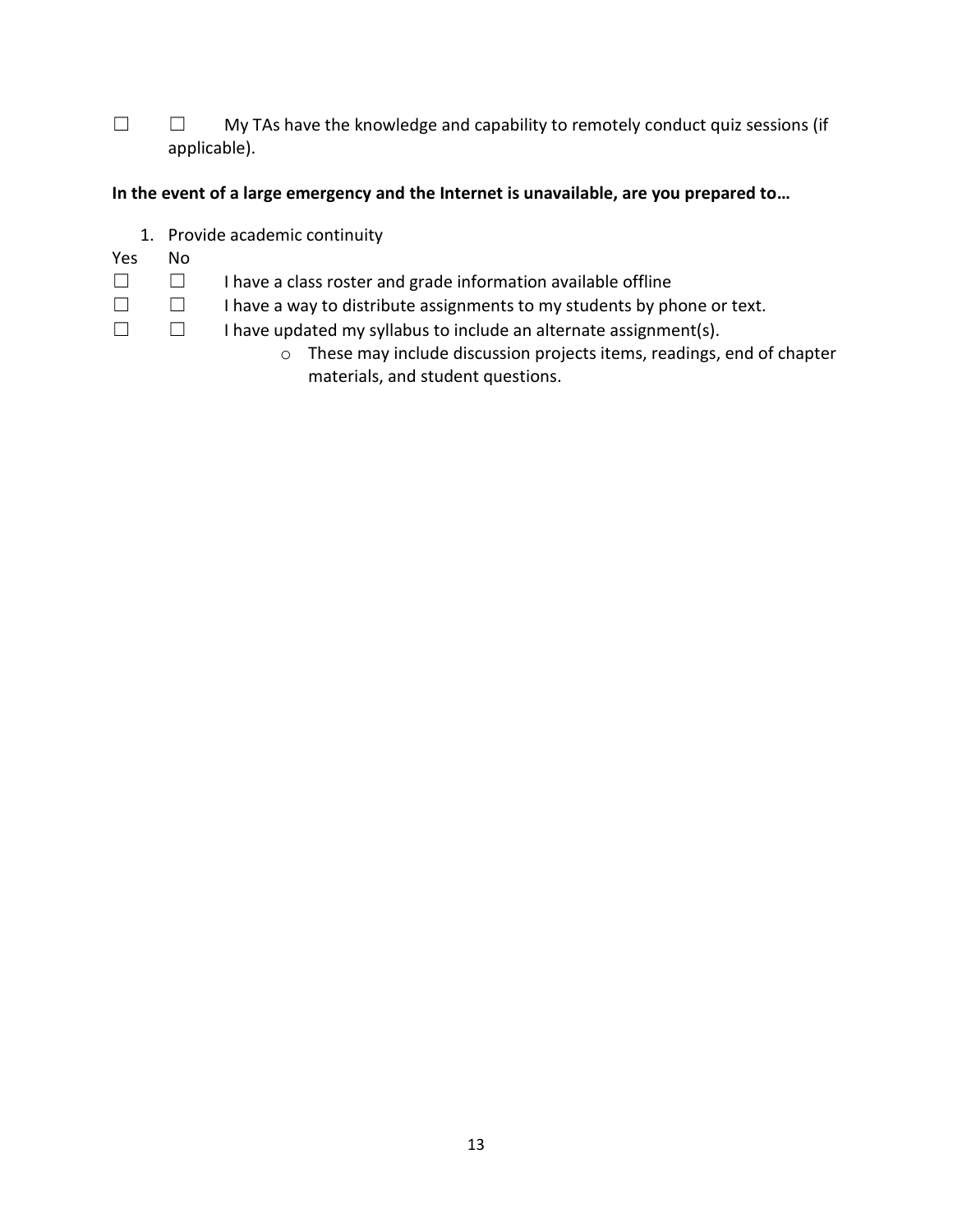□ □ My TAs have the knowledge and capability to remotely conduct quiz sessions (if applicable).

# **In the event of a large emergency and the Internet is unavailable, are you prepared to…**

- 1. Provide academic continuity
- Yes No
- ☐ ☐ I have a class roster and grade information available offline
- ☐ ☐ I have a way to distribute assignments to my students by phone or text.
- ☐ ☐ I have updated my syllabus to include an alternate assignment(s).
	- o These may include discussion projects items, readings, end of chapter materials, and student questions.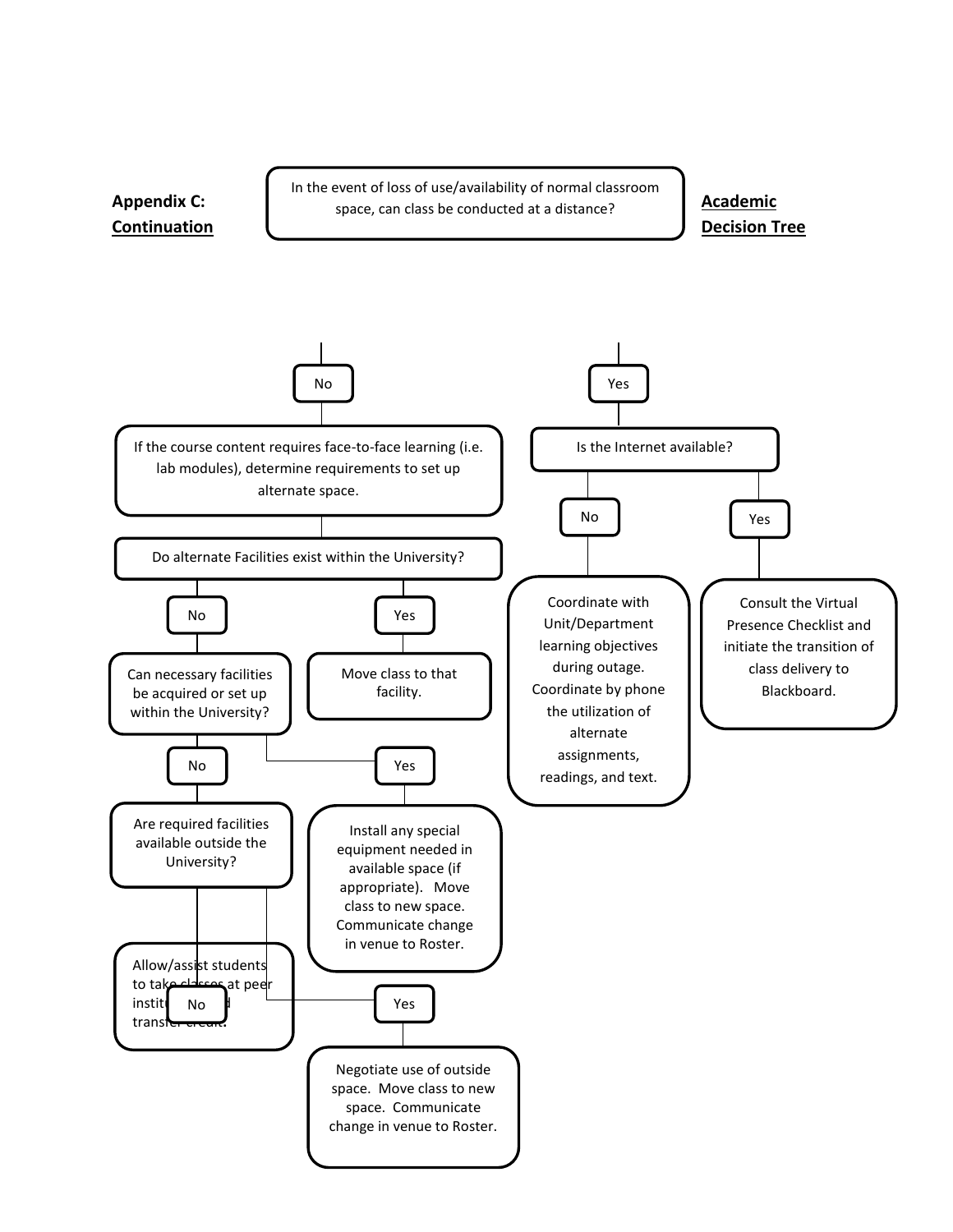